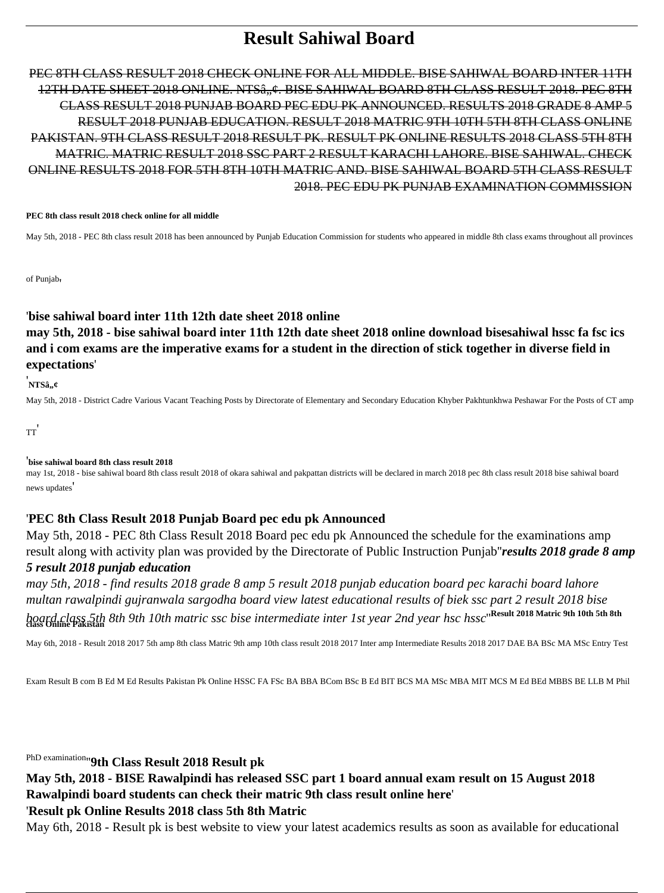# **Result Sahiwal Board**

PEC 8TH CLASS RESULT 2018 CHECK ONLINE FOR ALL MIDDLE. BISE SAHIWAL BOARD INTER 11TH 12TH DATE SHEET 2018 ONLINE. NTSâ, ¢. BISE SAHIWAL BOARD 8TH CLASS RESULT 2018. PEC 8TH CLASS RESULT 2018 PUNJAB BOARD PEC EDU PK ANNOUNCED. RESULTS 2018 GRADE 8 AMP 5 RESULT 2018 PUNJAB EDUCATION. RESULT 2018 MATRIC 9TH 10TH 5TH 8TH CLASS ONLINE PAKISTAN. 9TH CLASS RESULT 2018 RESULT PK. RESULT PK ONLINE RESULTS 2018 CLASS 5TH 8TH MATRIC. MATRIC RESULT 2018 SSC PART 2 RESULT KARACHI LAHORE. BISE SAHIWAL. CHECK ONLINE RESULTS 2018 FOR 5TH 8TH 10TH MATRIC AND. BISE SAHIWAL BOARD 5TH CLASS RESULT 2018. PEC EDU PK PUNJAB EXAMINATION COMMISSION

#### **PEC 8th class result 2018 check online for all middle**

May 5th, 2018 - PEC 8th class result 2018 has been announced by Punjab Education Commission for students who appeared in middle 8th class exams throughout all provinces

of Punjab'

#### '**bise sahiwal board inter 11th 12th date sheet 2018 online**

**may 5th, 2018 - bise sahiwal board inter 11th 12th date sheet 2018 online download bisesahiwal hssc fa fsc ics and i com exams are the imperative exams for a student in the direction of stick together in diverse field in expectations**'

<sub>.</sub><br>'NTSâ,,¢

May 5th, 2018 - District Cadre Various Vacant Teaching Posts by Directorate of Elementary and Secondary Education Khyber Pakhtunkhwa Peshawar For the Posts of CT amp

TT'

#### '**bise sahiwal board 8th class result 2018**

may 1st, 2018 - bise sahiwal board 8th class result 2018 of okara sahiwal and pakpattan districts will be declared in march 2018 pec 8th class result 2018 bise sahiwal board news updates'

#### '**PEC 8th Class Result 2018 Punjab Board pec edu pk Announced**

May 5th, 2018 - PEC 8th Class Result 2018 Board pec edu pk Announced the schedule for the examinations amp result along with activity plan was provided by the Directorate of Public Instruction Punjab''*results 2018 grade 8 amp 5 result 2018 punjab education*

*may 5th, 2018 - find results 2018 grade 8 amp 5 result 2018 punjab education board pec karachi board lahore multan rawalpindi gujranwala sargodha board view latest educational results of biek ssc part 2 result 2018 bise board class 5th 8th 9th 10th matric ssc bise intermediate inter 1st year 2nd year hsc hssc*''**Result 2018 Matric 9th 10th 5th 8th class Online Pakistan**

May 6th, 2018 - Result 2018 2017 5th amp 8th class Matric 9th amp 10th class result 2018 2017 Inter amp Intermediate Results 2018 2017 DAE BA BSc MA MSc Entry Test

Exam Result B com B Ed M Ed Results Pakistan Pk Online HSSC FA FSc BA BBA BCom BSc B Ed BIT BCS MA MSc MBA MIT MCS M Ed BEd MBBS BE LLB M Phil

PhD examination''**9th Class Result 2018 Result pk**

# **May 5th, 2018 - BISE Rawalpindi has released SSC part 1 board annual exam result on 15 August 2018 Rawalpindi board students can check their matric 9th class result online here**'

#### '**Result pk Online Results 2018 class 5th 8th Matric**

May 6th, 2018 - Result pk is best website to view your latest academics results as soon as available for educational